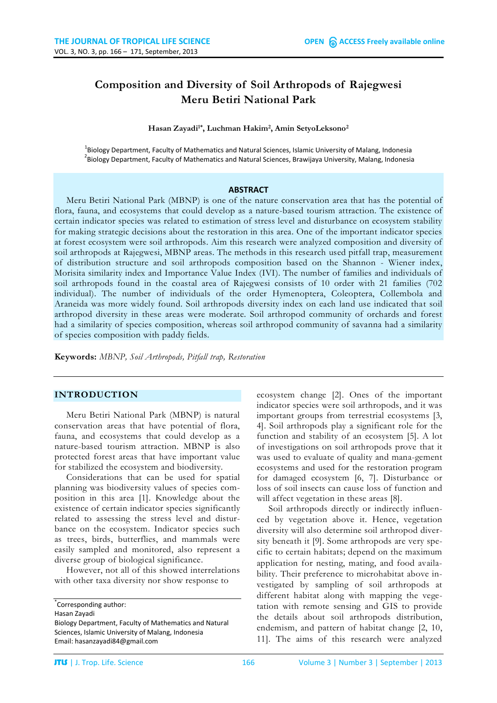# **Composition and Diversity of Soil Arthropods of Rajegwesi Meru Betiri National Park**

**Hasan Zayadi1\*, Luchman Hakim2, Amin SetyoLeksono2**

<sup>1</sup>Biology Department, Faculty of Mathematics and Natural Sciences, Islamic University of Malang, Indonesia<br><sup>2</sup>Biology Department, Faculty of Mathematics and Natural Sciences, Praudiaus University, Malang, Indonesia <sup>2</sup>Biology Department, Faculty of Mathematics and Natural Sciences, Brawijaya University, Malang, Indonesia

#### **ABSTRACT**

Meru Betiri National Park (MBNP) is one of the nature conservation area that has the potential of flora, fauna, and ecosystems that could develop as a nature-based tourism attraction. The existence of certain indicator species was related to estimation of stress level and disturbance on ecosystem stability for making strategic decisions about the restoration in this area. One of the important indicator species at forest ecosystem were soil arthropods. Aim this research were analyzed composition and diversity of soil arthropods at Rajegwesi, MBNP areas. The methods in this research used pitfall trap, measurement of distribution structure and soil arthropods composition based on the Shannon - Wiener index, Morisita similarity index and Importance Value Index (IVI). The number of families and individuals of soil arthropods found in the coastal area of Rajegwesi consists of 10 order with 21 families (702 individual). The number of individuals of the order Hymenoptera, Coleoptera, Collembola and Araneida was more widely found. Soil arthropods diversity index on each land use indicated that soil arthropod diversity in these areas were moderate. Soil arthropod community of orchards and forest had a similarity of species composition, whereas soil arthropod community of savanna had a similarity of species composition with paddy fields.

**Keywords:** *MBNP, Soil Arthropods, Pitfall trap, Restoration*

#### **INTRODUCTION**

Meru Betiri National Park (MBNP) is natural conservation areas that have potential of flora, fauna, and ecosystems that could develop as a nature-based tourism attraction. MBNP is also protected forest areas that have important value for stabilized the ecosystem and biodiversity.

Considerations that can be used for spatial planning was biodiversity values of species composition in this area [1]. Knowledge about the existence of certain indicator species significantly related to assessing the stress level and disturbance on the ecosystem. Indicator species such as trees, birds, butterflies, and mammals were easily sampled and monitored, also represent a diverse group of biological significance.

However, not all of this showed interrelations with other taxa diversity nor show response to

ecosystem change [2]. Ones of the important indicator species were soil arthropods, and it was important groups from terrestrial ecosystems [3, 4]. Soil arthropods play a significant role for the function and stability of an ecosystem [5]. A lot of investigations on soil arthropods prove that it was used to evaluate of quality and mana-gement ecosystems and used for the restoration program for damaged ecosystem [6, 7]. Disturbance or loss of soil insects can cause loss of function and will affect vegetation in these areas [8].

Soil arthropods directly or indirectly influenced by vegetation above it. Hence, vegetation diversity will also determine soil arthropod diversity beneath it [9]. Some arthropods are very specific to certain habitats; depend on the maximum application for nesting, mating, and food availability. Their preference to microhabitat above investigated by sampling of soil arthropods at different habitat along with mapping the vegetation with remote sensing and GIS to provide the details about soil arthropods distribution, endemism, and pattern of habitat change [2, 10, 11]. The aims of this research were analyzed

<sup>\*</sup> Corresponding author:

Hasan Zayadi

Biology Department, Faculty of Mathematics and Natural Sciences, Islamic University of Malang, Indonesia Email: [hasanzayadi84@gmail.com](mailto:hasanzayadi84@gmail.com)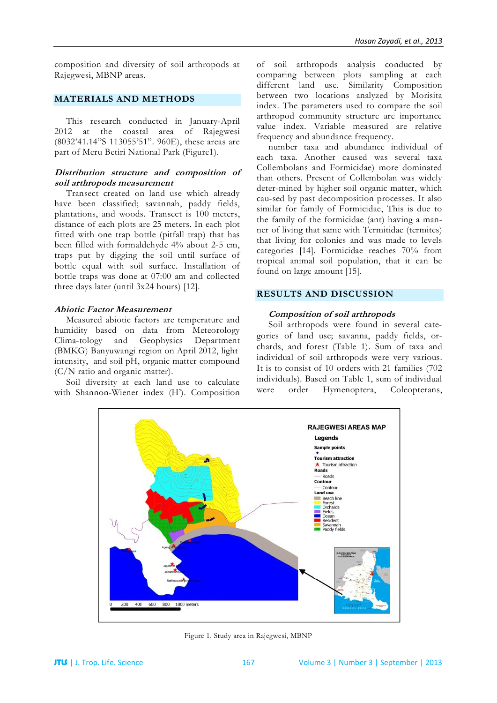composition and diversity of soil arthropods at Rajegwesi, MBNP areas.

## **MATERIALS AND METHODS**

This research conducted in January-April 2012 at the coastal area of Rajegwesi (8032'41.14"S 113055'51". 960E), these areas are part of Meru Betiri National Park (Figure1).

## **Distribution structure and composition of soil arthropods measurement**

Transect created on land use which already have been classified; savannah, paddy fields, plantations, and woods. Transect is 100 meters, distance of each plots are 25 meters. In each plot fitted with one trap bottle (pitfall trap) that has been filled with formaldehyde 4% about 2-5 cm, traps put by digging the soil until surface of bottle equal with soil surface. Installation of bottle traps was done at 07:00 am and collected three days later (until 3x24 hours) [12].

### **Abiotic Factor Measurement**

Measured abiotic factors are temperature and humidity based on data from Meteorology Clima-tology and Geophysics Department (BMKG) Banyuwangi region on April 2012, light intensity, and soil pH, organic matter compound (C/N ratio and organic matter).

Soil diversity at each land use to calculate with Shannon-Wiener index (H'). Composition of soil arthropods analysis conducted by comparing between plots sampling at each different land use. Similarity Composition between two locations analyzed by Morisita index. The parameters used to compare the soil arthropod community structure are importance value index. Variable measured are relative frequency and abundance frequency.

number taxa and abundance individual of each taxa. Another caused was several taxa Collembolans and Formicidae) more dominated than others. Present of Collembolan was widely deter-mined by higher soil organic matter, which cau-sed by past decomposition processes. It also similar for family of Formicidae, This is due to the family of the formicidae (ant) having a manner of living that same with Termitidae (termites) that living for colonies and was made to levels categories [14]. Formicidae reaches 70% from tropical animal soil population, that it can be found on large amount [15].

# **RESULTS AND DISCUSSION**

## **Composition of soil arthropods**

Soil arthropods were found in several categories of land use; savanna, paddy fields, orchards, and forest (Table 1). Sum of taxa and individual of soil arthropods were very various. It is to consist of 10 orders with 21 families (702 individuals). Based on Table 1, sum of individual were order Hymenoptera, Coleopterans,



Figure 1. Study area in Rajegwesi, MBNP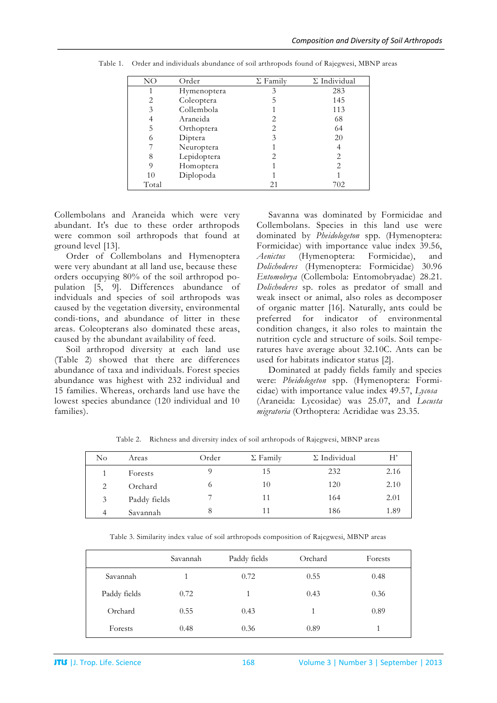| NΟ    | Order       | $\Sigma$ Family | $\Sigma$ Individual |
|-------|-------------|-----------------|---------------------|
|       | Hymenoptera | 3               | 283                 |
| 2     | Coleoptera  |                 | 145                 |
| 3     | Collembola  |                 | 113                 |
| 4     | Araneida    |                 | 68                  |
| 5     | Orthoptera  | 2.              | 64                  |
| 6     | Diptera     | 3               | 20                  |
|       | Neuroptera  |                 | 4                   |
| 8     | Lepidoptera |                 | 2                   |
| 9     | Homoptera   |                 | 2                   |
| 10    | Diplopoda   |                 |                     |
| Total |             |                 | 702                 |

Table 1. Order and individuals abundance of soil arthropods found of Rajegwesi, MBNP areas

Collembolans and Araneida which were very abundant. It's due to these order arthropods were common soil arthropods that found at ground level [13].

Order of Collembolans and Hymenoptera were very abundant at all land use, because these orders occupying 80% of the soil arthropod population [5, 9]. Differences abundance of indviduals and species of soil arthropods was caused by the vegetation diversity, environmental condi-tions, and abundance of litter in these areas. Coleopterans also dominated these areas, caused by the abundant availability of feed.

Soil arthropod diversity at each land use (Table 2) showed that there are differences abundance of taxa and individuals. Forest species abundance was highest with 232 individual and 15 families. Whereas, orchards land use have the lowest species abundance (120 individual and 10 families).

Savanna was dominated by Formicidae and Collembolans. Species in this land use were dominated by *Pheidologeton* spp. (Hymenoptera: Formicidae) with importance value index 39.56, *Aenictus* (Hymenoptera: Formicidae), and *Dolichoderes* (Hymenoptera: Formicidae) 30.96 *Entomobrya* (Collembola: Entomobryadae) 28.21. *Dolichoderes* sp. roles as predator of small and weak insect or animal, also roles as decomposer of organic matter [16]. Naturally, ants could be preferred for indicator of environmental condition changes, it also roles to maintain the nutrition cycle and structure of soils. Soil temperatures have average about 32.10C. Ants can be used for habitats indicator status [2].

Dominated at paddy fields family and species were: *Pheidologeton* spp. (Hymenoptera: Formicidae) with importance value index 49.57, *Lycosa* (Araneida: Lycosidae) was 25.07, and *Locusta migratoria* (Orthoptera: Acrididae was 23.35.

| No | Areas        | Order | $\Sigma$ Family | $\Sigma$ Individual | H    |
|----|--------------|-------|-----------------|---------------------|------|
|    | Forests      |       | 15              | 232                 | 2.16 |
| 2  | Orchard      | O     | 10              | 120                 | 2.10 |
| 3  | Paddy fields | −     | 11              | 164                 | 2.01 |
| 4  | Savannah     | 8     | 11              | 186                 | 1.89 |

Table 2. Richness and diversity index of soil arthropods of Rajegwesi, MBNP areas

Table 3. Similarity index value of soil arthropods composition of Rajegwesi, MBNP areas

|              | Savannah | Paddy fields | Orchard | Forests |
|--------------|----------|--------------|---------|---------|
| Savannah     |          | 0.72         | 0.55    | 0.48    |
| Paddy fields | 0.72     |              | 0.43    | 0.36    |
| Orchard      | 0.55     | 0.43         |         | 0.89    |
| Forests      | 0.48     | 0.36         | 0.89    |         |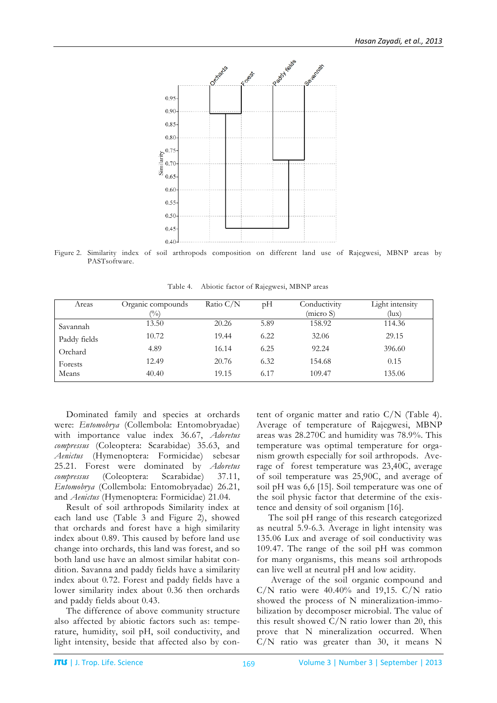

Figure 2. Similarity index of soil arthropods composition on different land use of Rajegwesi, MBNP areas by PASTsoftware.

| Table 4. |  |  | Abiotic factor of Rajegwesi, MBNP areas |  |
|----------|--|--|-----------------------------------------|--|
|----------|--|--|-----------------------------------------|--|

| Areas        | Organic compounds<br>$\frac{(0)}{0}$ | Ratio $C/N$ | pH   | Conductivity<br>(micro S) | Light intensity<br>(lux) |
|--------------|--------------------------------------|-------------|------|---------------------------|--------------------------|
| Savannah     | 13.50                                | 20.26       | 5.89 | 158.92                    | 114.36                   |
| Paddy fields | 10.72                                | 19.44       | 6.22 | 32.06                     | 29.15                    |
| Orchard      | 4.89                                 | 16.14       | 6.25 | 92.24                     | 396.60                   |
| Forests      | 12.49                                | 20.76       | 6.32 | 154.68                    | 0.15                     |
| Means        | 40.40                                | 19.15       | 6.17 | 109.47                    | 135.06                   |

Dominated family and species at orchards were: *Entomobrya* (Collembola: Entomobryadae) with importance value index 36.67, *Adoretus compressus* (Coleoptera: Scarabidae) 35.63, and *Aenictus* (Hymenoptera: Formicidae) sebesar 25.21. Forest were dominated by *Adoretus compressus* (Coleoptera: Scarabidae) 37.11, *Entomobrya* (Collembola: Entomobryadae) 26.21, and *Aenictus* (Hymenoptera: Formicidae) 21.04.

Result of soil arthropods Similarity index at each land use (Table 3 and Figure 2), showed that orchards and forest have a high similarity index about 0.89. This caused by before land use change into orchards, this land was forest, and so both land use have an almost similar habitat condition. Savanna and paddy fields have a similarity index about 0.72. Forest and paddy fields have a lower similarity index about 0.36 then orchards and paddy fields about 0.43.

The difference of above community structure also affected by abiotic factors such as: temperature, humidity, soil pH, soil conductivity, and light intensity, beside that affected also by content of organic matter and ratio C/N (Table 4). Average of temperature of Rajegwesi, MBNP areas was 28.270C and humidity was 78.9%. This temperature was optimal temperature for organism growth especially for soil arthropods. Average of forest temperature was 23,40C, average of soil temperature was 25,90C, and average of soil pH was 6,6 [15]. Soil temperature was one of the soil physic factor that determine of the existence and density of soil organism [16].

The soil pH range of this research categorized as neutral 5.9-6.3. Average in light intensity was 135.06 Lux and average of soil conductivity was 109.47. The range of the soil pH was common for many organisms, this means soil arthropods can live well at neutral pH and low acidity.

Average of the soil organic compound and  $C/N$  ratio were 40.40% and 19,15.  $C/N$  ratio showed the process of N mineralization-immobilization by decomposer microbial. The value of this result showed C/N ratio lower than 20, this prove that N mineralization occurred. When C/N ratio was greater than 30, it means N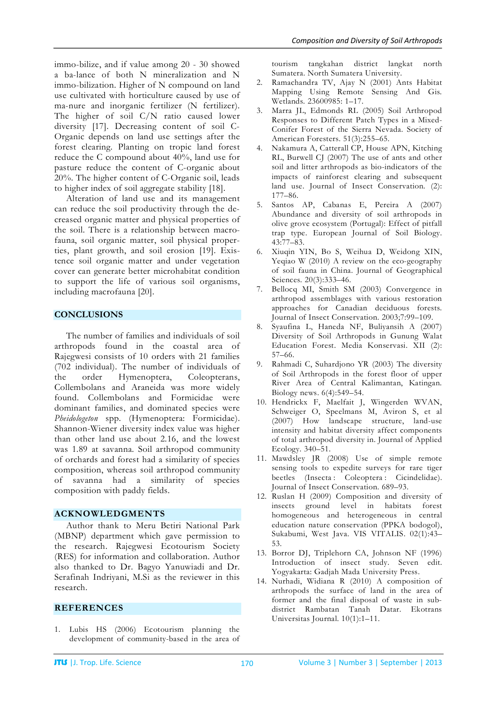immo-bilize, and if value among 20 - 30 showed a ba-lance of both N mineralization and N immo-bilization. Higher of N compound on land use cultivated with horticulture caused by use of ma-nure and inorganic fertilizer (N fertilizer). The higher of soil C/N ratio caused lower diversity [17]. Decreasing content of soil C-Organic depends on land use settings after the forest clearing. Planting on tropic land forest reduce the C compound about 40%, land use for pasture reduce the content of C-organic about 20%. The higher content of C-Organic soil, leads to higher index of soil aggregate stability [18].

Alteration of land use and its management can reduce the soil productivity through the decreased organic matter and physical properties of the soil. There is a relationship between macrofauna, soil organic matter, soil physical properties, plant growth, and soil erosion [19]. Existence soil organic matter and under vegetation cover can generate better microhabitat condition to support the life of various soil organisms, including macrofauna [20].

#### **CONCLUSIONS**

The number of families and individuals of soil arthropods found in the coastal area of Rajegwesi consists of 10 orders with 21 families (702 individual). The number of individuals of the order Hymenoptera, Coleopterans, Collembolans and Araneida was more widely found. Collembolans and Formicidae were dominant families, and dominated species were *Pheidologeton* spp. (Hymenoptera: Formicidae). Shannon-Wiener diversity index value was higher than other land use about 2.16, and the lowest was 1.89 at savanna. Soil arthropod community of orchards and forest had a similarity of species composition, whereas soil arthropod community of savanna had a similarity of species composition with paddy fields.

#### **ACKNOWLEDGMENTS**

Author thank to Meru Betiri National Park (MBNP) department which gave permission to the research. Rajegwesi Ecotourism Society (RES) for information and collaboration. Author also thanked to Dr. Bagyo Yanuwiadi and Dr. Serafinah Indriyani, M.Si as the reviewer in this research.

#### **REFERENCES**

1. Lubis HS (2006) Ecotourism planning the development of community-based in the area of

tourism tangkahan district langkat north Sumatera. North Sumatera University.

- 2. Ramachandra TV, Ajay N (2001) Ants Habitat Mapping Using Remote Sensing And Gis. Wetlands. 23600985: 1–17.
- 3. Marra JL, Edmonds RL (2005) Soil Arthropod Responses to Different Patch Types in a Mixed-Conifer Forest of the Sierra Nevada. Society of American Foresters. 51(3):255-65.
- 4. Nakamura A, Catterall CP, House APN, Kitching RL, Burwell CJ (2007) The use of ants and other soil and litter arthropods as bio-indicators of the impacts of rainforest clearing and subsequent land use. Journal of Insect Conservation. (2): 177–86.
- 5. Santos AP, Cabanas E, Pereira A (2007) Abundance and diversity of soil arthropods in olive grove ecosystem (Portugal): Effect of pitfall trap type. European Journal of Soil Biology. 43:77–83.
- 6. Xiuqin YIN, Bo S, Weihua D, Weidong XIN, Yeqiao W (2010) A review on the eco-geography of soil fauna in China. Journal of Geographical Sciences. 20(3):333–46.
- 7. Bellocq MI, Smith SM (2003) Convergence in arthropod assemblages with various restoration approaches for Canadian deciduous forests. Journal of Insect Conservation. 2003;7:99–109.
- 8. Syaufina L, Haneda NF, Buliyansih A (2007) Diversity of Soil Arthropods in Gunung Walat Education Forest. Media Konservasi. XII (2): 57–66.
- 9. Rahmadi C, Suhardjono YR (2003) The diversity of Soil Arthropods in the forest floor of upper River Area of Central Kalimantan, Katingan. Biology news. 6(4):549–54.
- 10. Hendrickx F, Maelfait J, Wingerden WVAN, Schweiger O, Speelmans M, Aviron S, et al (2007) How landscape structure, land-use intensity and habitat diversity affect components of total arthropod diversity in. Journal of Applied Ecology. 340–51.
- 11. Mawdsley JR (2008) Use of simple remote sensing tools to expedite surveys for rare tiger beetles (Insecta : Coleoptera : Cicindelidae). Journal of Insect Conservation. 689–93.
- 12. Ruslan H (2009) Composition and diversity of insects ground level in habitats forest homogeneous and heterogeneous in central education nature conservation (PPKA bodogol), Sukabumi, West Java. VIS VITALIS. 02(1):43– 53.
- 13. Borror DJ, Triplehorn CA, Johnson NF (1996) Introduction of insect study. Seven edit. Yogyakarta: Gadjah Mada University Press.
- 14. Nurhadi, Widiana R (2010) A composition of arthropods the surface of land in the area of former and the final disposal of waste in subdistrict Rambatan Tanah Datar. Ekotrans Universitas Journal. 10(1):1–11.